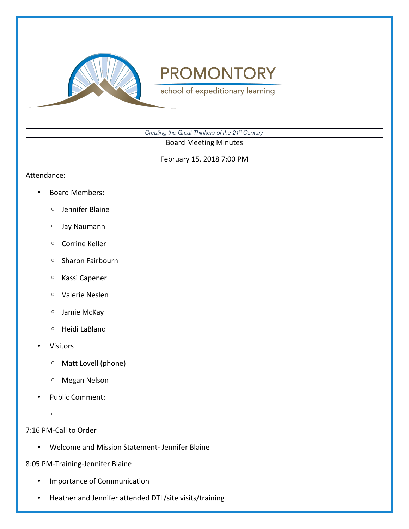

school of expeditionary learning

*Creating the Great Thinkers of the 21st Century*

Board Meeting Minutes

February 15, 2018 7:00 PM

#### Attendance:

- Board Members:
	- Jennifer Blaine
	- Jay Naumann
	- Corrine Keller
	- Sharon Fairbourn
	- Kassi Capener
	- Valerie Neslen
	- Jamie McKay
	- Heidi LaBlanc
- Visitors
	- Matt Lovell (phone)
	- Megan Nelson
- Public Comment:
	- $\circ$

### 7:16 PM-Call to Order

• Welcome and Mission Statement- Jennifer Blaine

8:05 PM-Training-Jennifer Blaine

- Importance of Communication
- Heather and Jennifer attended DTL/site visits/training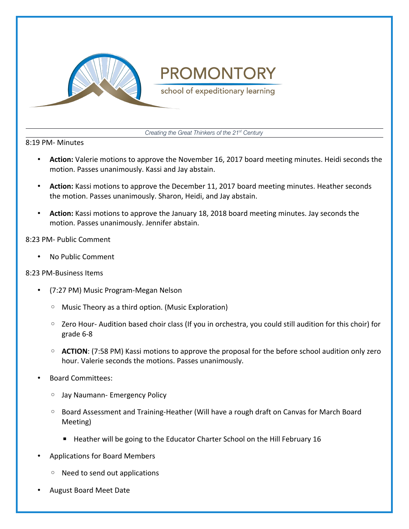

school of expeditionary learning

*Creating the Great Thinkers of the 21st Century*

8:19 PM- Minutes

- **Action:** Valerie motions to approve the November 16, 2017 board meeting minutes. Heidi seconds the motion. Passes unanimously. Kassi and Jay abstain.
- **Action:** Kassi motions to approve the December 11, 2017 board meeting minutes. Heather seconds the motion. Passes unanimously. Sharon, Heidi, and Jay abstain.
- **Action:** Kassi motions to approve the January 18, 2018 board meeting minutes. Jay seconds the motion. Passes unanimously. Jennifer abstain.

### 8:23 PM- Public Comment

• No Public Comment

### 8:23 PM-Business Items

- (7:27 PM) Music Program-Megan Nelson
	- Music Theory as a third option. (Music Exploration)
	- Zero Hour- Audition based choir class (If you in orchestra, you could still audition for this choir) for grade 6-8
	- **ACTION**: (7:58 PM) Kassi motions to approve the proposal for the before school audition only zero hour. Valerie seconds the motions. Passes unanimously.
- Board Committees:
	- Jay Naumann- Emergency Policy
	- Board Assessment and Training-Heather (Will have a rough draft on Canvas for March Board Meeting)
		- Heather will be going to the Educator Charter School on the Hill February 16
- Applications for Board Members
	- Need to send out applications
- August Board Meet Date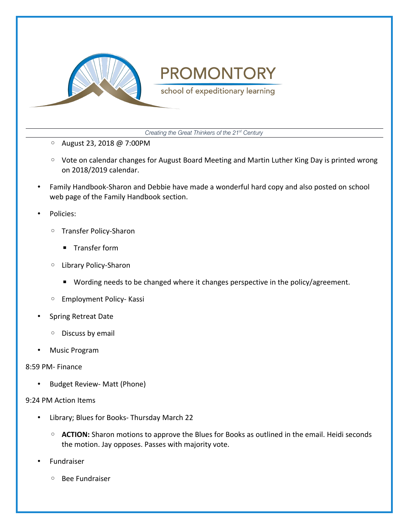

school of expeditionary learning

*Creating the Great Thinkers of the 21st Century*

- August 23, 2018 @ 7:00PM
- Vote on calendar changes for August Board Meeting and Martin Luther King Day is printed wrong on 2018/2019 calendar.
- Family Handbook-Sharon and Debbie have made a wonderful hard copy and also posted on school web page of the Family Handbook section.
- Policies:
	- Transfer Policy-Sharon
		- Transfer form
	- Library Policy-Sharon
		- Wording needs to be changed where it changes perspective in the policy/agreement.
	- Employment Policy- Kassi
- Spring Retreat Date
	- Discuss by email
- Music Program

### 8:59 PM- Finance

• Budget Review- Matt (Phone)

### 9:24 PM Action Items

- Library; Blues for Books- Thursday March 22
	- **ACTION:** Sharon motions to approve the Blues for Books as outlined in the email. Heidi seconds the motion. Jay opposes. Passes with majority vote.
- Fundraiser
	- Bee Fundraiser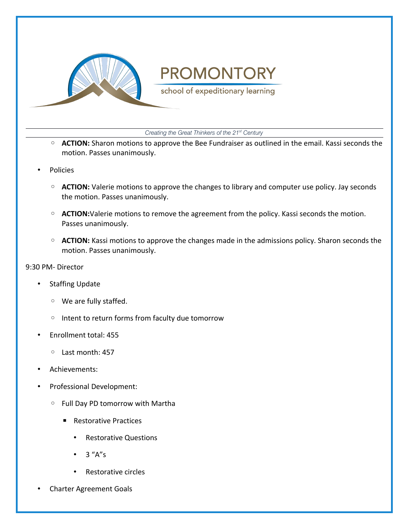

school of expeditionary learning

*Creating the Great Thinkers of the 21st Century*

- **ACTION:** Sharon motions to approve the Bee Fundraiser as outlined in the email. Kassi seconds the motion. Passes unanimously.
- Policies
	- **ACTION:** Valerie motions to approve the changes to library and computer use policy. Jay seconds the motion. Passes unanimously.
	- **ACTION:**Valerie motions to remove the agreement from the policy. Kassi seconds the motion. Passes unanimously.
	- **ACTION:** Kassi motions to approve the changes made in the admissions policy. Sharon seconds the motion. Passes unanimously.

### 9:30 PM- Director

- **Staffing Update** 
	- We are fully staffed.
	- Intent to return forms from faculty due tomorrow
- Enrollment total: 455
	- Last month: 457
- Achievements:
- Professional Development:
	- Full Day PD tomorrow with Martha
		- Restorative Practices
			- Restorative Questions
			- 3 "A"s
			- Restorative circles
- Charter Agreement Goals